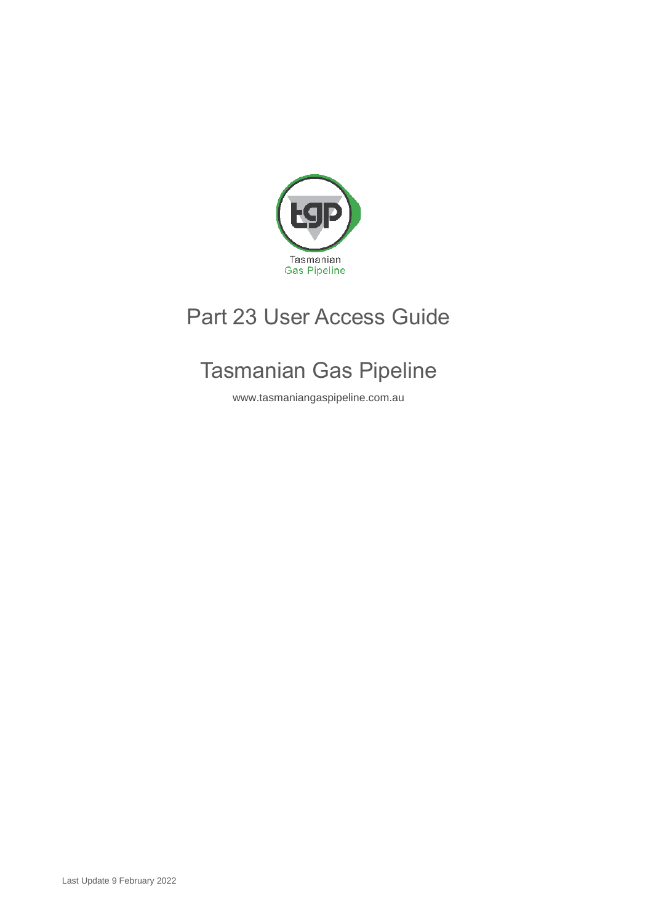

# Part 23 User Access Guide

# Tasmanian Gas Pipeline

www.tasmaniangaspipeline.com.au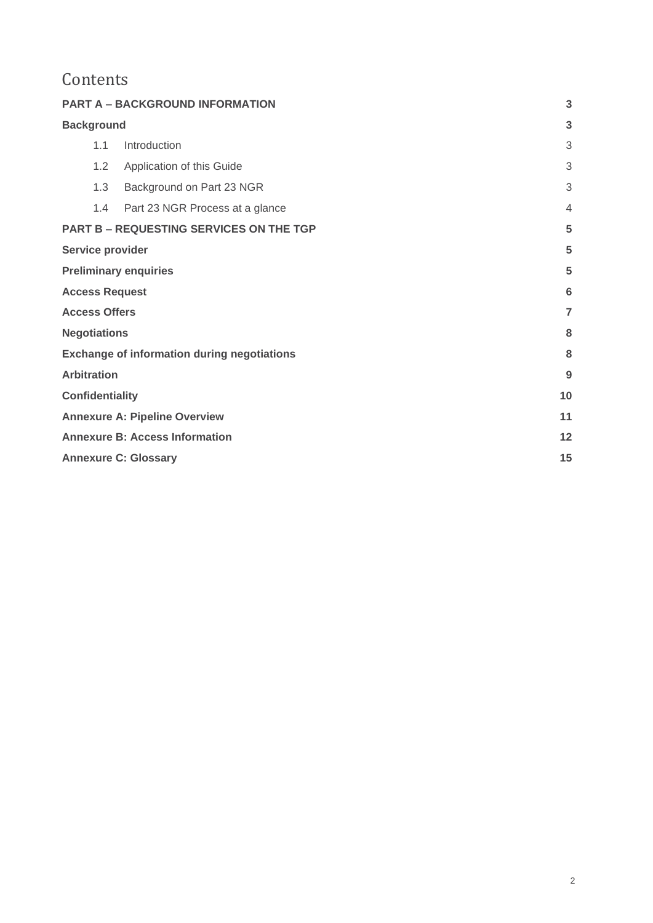## Contents

| <b>PART A - BACKGROUND INFORMATION</b>             |                |  |
|----------------------------------------------------|----------------|--|
| <b>Background</b>                                  | 3              |  |
| Introduction<br>1.1                                | 3              |  |
| 1.2<br>Application of this Guide                   | 3              |  |
| 1.3<br>Background on Part 23 NGR                   | 3              |  |
| 1.4<br>Part 23 NGR Process at a glance             | $\overline{4}$ |  |
| <b>PART B - REQUESTING SERVICES ON THE TGP</b>     | 5              |  |
| Service provider                                   |                |  |
| <b>Preliminary enquiries</b>                       |                |  |
| <b>Access Request</b>                              | 6              |  |
| <b>Access Offers</b>                               |                |  |
| <b>Negotiations</b>                                |                |  |
| <b>Exchange of information during negotiations</b> |                |  |
| <b>Arbitration</b>                                 |                |  |
| <b>Confidentiality</b>                             | 10             |  |
| <b>Annexure A: Pipeline Overview</b>               |                |  |
| <b>Annexure B: Access Information</b>              |                |  |
| <b>Annexure C: Glossary</b>                        |                |  |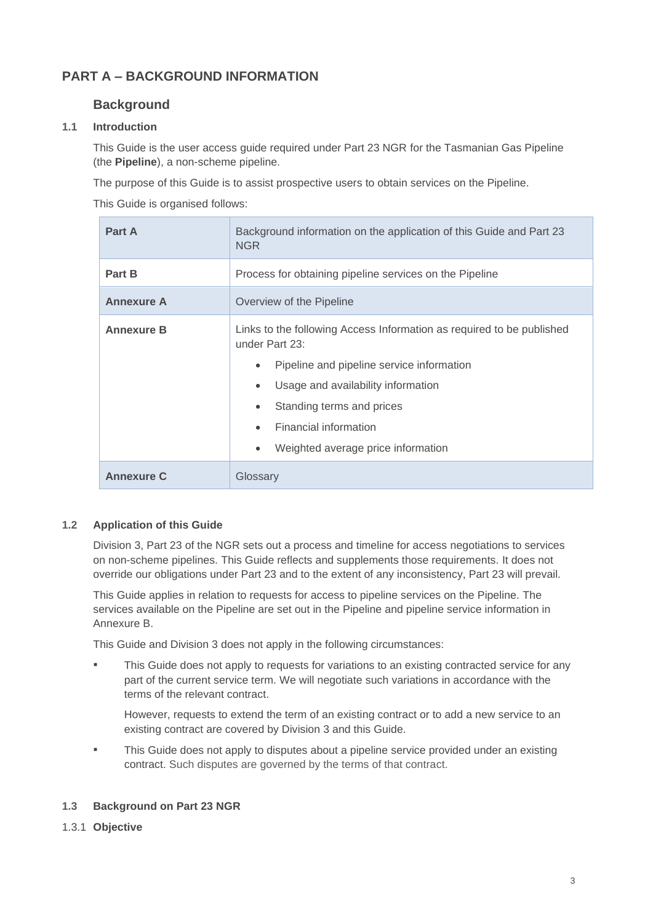## <span id="page-2-1"></span><span id="page-2-0"></span>**PART A – BACKGROUND INFORMATION**

## **Background**

#### <span id="page-2-2"></span>**1.1 Introduction**

This Guide is the user access guide required under Part 23 NGR for the Tasmanian Gas Pipeline (the **Pipeline**), a non-scheme pipeline.

The purpose of this Guide is to assist prospective users to obtain services on the Pipeline.

This Guide is organised follows:

| Part A            | Background information on the application of this Guide and Part 23<br><b>NGR</b>                                                                                                                                                                                                                                                              |
|-------------------|------------------------------------------------------------------------------------------------------------------------------------------------------------------------------------------------------------------------------------------------------------------------------------------------------------------------------------------------|
| Part B            | Process for obtaining pipeline services on the Pipeline                                                                                                                                                                                                                                                                                        |
| <b>Annexure A</b> | Overview of the Pipeline                                                                                                                                                                                                                                                                                                                       |
| <b>Annexure B</b> | Links to the following Access Information as required to be published<br>under Part 23:<br>Pipeline and pipeline service information<br>$\bullet$<br>Usage and availability information<br>$\bullet$<br>Standing terms and prices<br>$\bullet$<br><b>Financial information</b><br>$\bullet$<br>Weighted average price information<br>$\bullet$ |
| <b>Annexure C</b> | Glossary                                                                                                                                                                                                                                                                                                                                       |

#### <span id="page-2-3"></span>**1.2 Application of this Guide**

Division 3, Part 23 of the NGR sets out a process and timeline for access negotiations to services on non-scheme pipelines. This Guide reflects and supplements those requirements. It does not override our obligations under Part 23 and to the extent of any inconsistency, Part 23 will prevail.

This Guide applies in relation to requests for access to pipeline services on the Pipeline. The services available on the Pipeline are set out in the Pipeline and pipeline service information in Annexure B.

This Guide and Division 3 does not apply in the following circumstances:

This Guide does not apply to requests for variations to an existing contracted service for any part of the current service term. We will negotiate such variations in accordance with the terms of the relevant contract.

However, requests to extend the term of an existing contract or to add a new service to an existing contract are covered by Division 3 and this Guide.

This Guide does not apply to disputes about a pipeline service provided under an existing contract. Such disputes are governed by the terms of that contract.

#### <span id="page-2-4"></span>**1.3 Background on Part 23 NGR**

1.3.1 **Objective**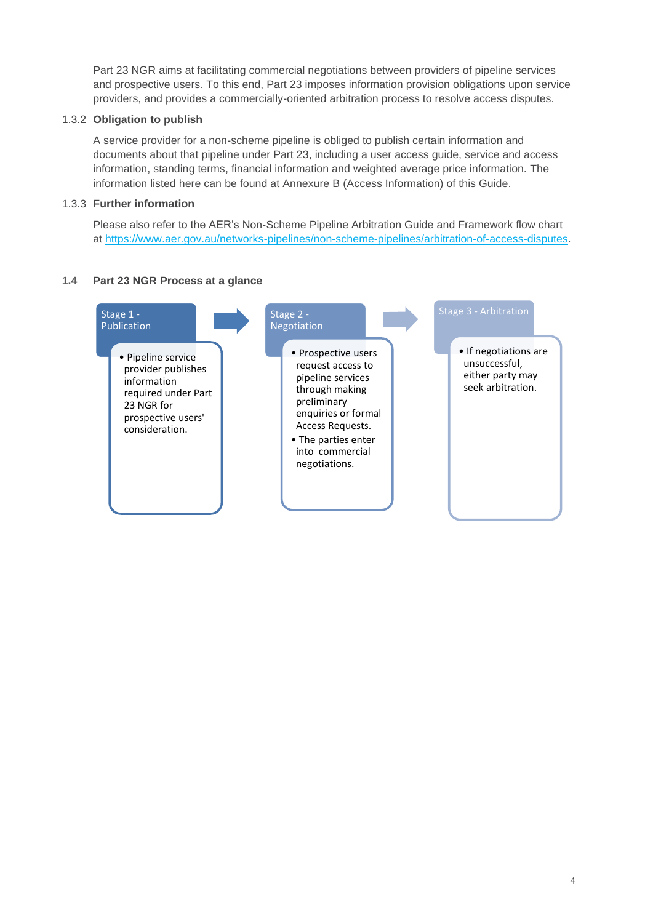Part 23 NGR aims at facilitating commercial negotiations between providers of pipeline services and prospective users. To this end, Part 23 imposes information provision obligations upon service providers, and provides a commercially-oriented arbitration process to resolve access disputes.

#### 1.3.2 **Obligation to publish**

A service provider for a non-scheme pipeline is obliged to publish certain information and documents about that pipeline under Part 23, including a user access guide, service and access information, standing terms, financial information and weighted average price information. The information listed here can be found at Annexure B (Access Information) of this Guide.

#### 1.3.3 **Further information**

Please also refer to the AER's Non-Scheme Pipeline Arbitration Guide and Framework flow chart at [https://www.aer.gov.au/networks-pipelines/non-scheme-pipelines/arbitration-of-access-disputes.](https://www.aer.gov.au/networks-pipelines/non-scheme-pipelines/arbitration-of-access-disputes)

#### <span id="page-3-0"></span>**1.4 Part 23 NGR Process at a glance**

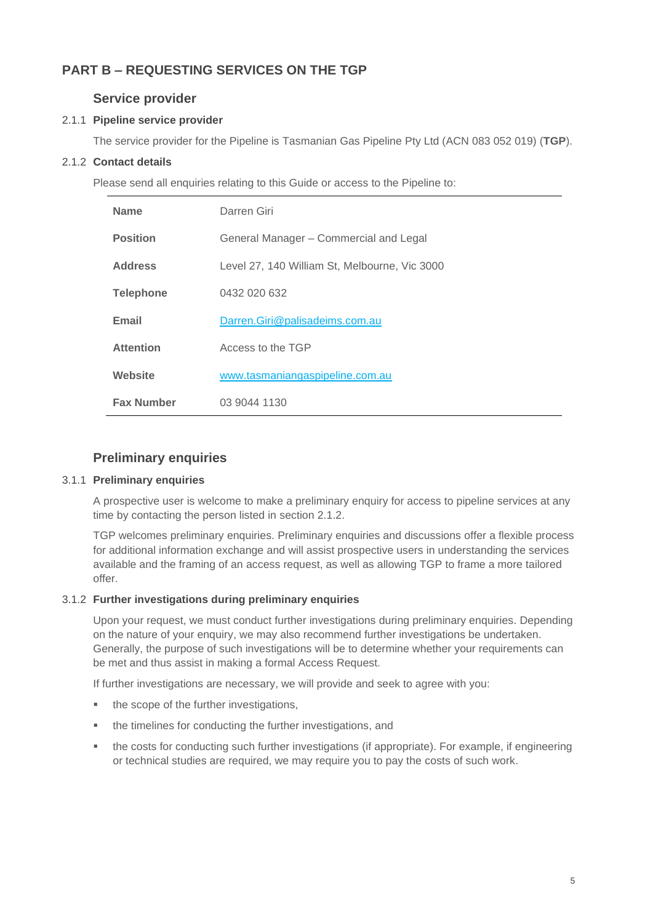## <span id="page-4-1"></span><span id="page-4-0"></span>**PART B – REQUESTING SERVICES ON THE TGP**

## **Service provider**

#### 2.1.1 **Pipeline service provider**

The service provider for the Pipeline is Tasmanian Gas Pipeline Pty Ltd (ACN 083 052 019) (**TGP**).

#### 2.1.2 **Contact details**

Please send all enquiries relating to this Guide or access to the Pipeline to:

| <b>Name</b>       | Darren Giri                                   |  |
|-------------------|-----------------------------------------------|--|
| <b>Position</b>   | General Manager - Commercial and Legal        |  |
| <b>Address</b>    | Level 27, 140 William St, Melbourne, Vic 3000 |  |
| <b>Telephone</b>  | 0432 020 632                                  |  |
| Email             | Darren.Giri@palisadeims.com.au                |  |
| <b>Attention</b>  | Access to the TGP                             |  |
| Website           | www.tasmaniangaspipeline.com.au               |  |
| <b>Fax Number</b> | 03 9044 1130                                  |  |

### **Preliminary enquiries**

#### <span id="page-4-2"></span>3.1.1 **Preliminary enquiries**

A prospective user is welcome to make a preliminary enquiry for access to pipeline services at any time by contacting the person listed in section 2.1.2.

TGP welcomes preliminary enquiries. Preliminary enquiries and discussions offer a flexible process for additional information exchange and will assist prospective users in understanding the services available and the framing of an access request, as well as allowing TGP to frame a more tailored offer.

#### 3.1.2 **Further investigations during preliminary enquiries**

Upon your request, we must conduct further investigations during preliminary enquiries. Depending on the nature of your enquiry, we may also recommend further investigations be undertaken. Generally, the purpose of such investigations will be to determine whether your requirements can be met and thus assist in making a formal Access Request.

If further investigations are necessary, we will provide and seek to agree with you:

- the scope of the further investigations,
- the timelines for conducting the further investigations, and
- the costs for conducting such further investigations (if appropriate). For example, if engineering or technical studies are required, we may require you to pay the costs of such work.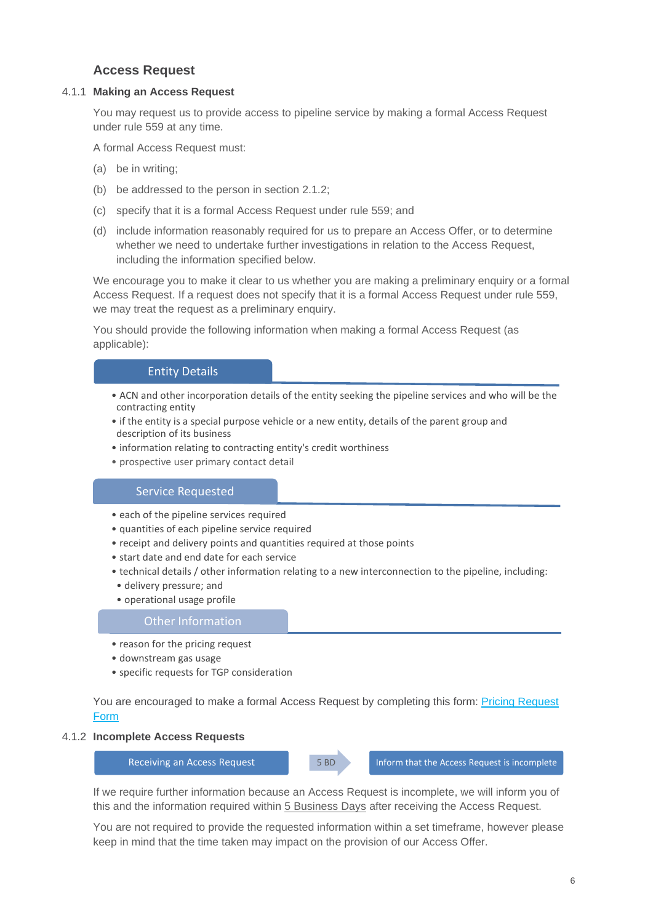## **Access Request**

#### <span id="page-5-0"></span>4.1.1 **Making an Access Request**

You may request us to provide access to pipeline service by making a formal Access Request under rule 559 at any time.

A formal Access Request must:

- (a) be in writing;
- (b) be addressed to the person in section 2.1.2;
- (c) specify that it is a formal Access Request under rule 559; and
- (d) include information reasonably required for us to prepare an Access Offer, or to determine whether we need to undertake further investigations in relation to the Access Request, including the information specified below.

We encourage you to make it clear to us whether you are making a preliminary enquiry or a formal Access Request. If a request does not specify that it is a formal Access Request under rule 559, we may treat the request as a preliminary enquiry.

You should provide the following information when making a formal Access Request (as applicable):

#### Entity Details

- ACN and other incorporation details of the entity seeking the pipeline services and who will be the contracting entity
- if the entity is a special purpose vehicle or a new entity, details of the parent group and description of its business
- information relating to contracting entity's credit worthiness
- prospective user primary contact detail

#### Service Requested

- each of the pipeline services required
- quantities of each pipeline service required
- receipt and delivery points and quantities required at those points
- start date and end date for each service
- technical details / other information relating to a new interconnection to the pipeline, including:
- delivery pressure; and
- operational usage profile

#### Other Information

- reason for the pricing request
- downstream gas usage
- specific requests for TGP consideration

You are encouraged to make a formal Access Request by completing this form: [Pricing Request](https://www.tasmaniangaspipeline.com.au/client-assets/Part%2023/TGP%20Request%20For%20Pricing%20Template.pdf)  [Form](https://www.tasmaniangaspipeline.com.au/client-assets/Part%2023/TGP%20Request%20For%20Pricing%20Template.pdf)

#### 4.1.2 **Incomplete Access Requests**



If we require further information because an Access Request is incomplete, we will inform you of this and the information required within 5 Business Days after receiving the Access Request.

You are not required to provide the requested information within a set timeframe, however please keep in mind that the time taken may impact on the provision of our Access Offer.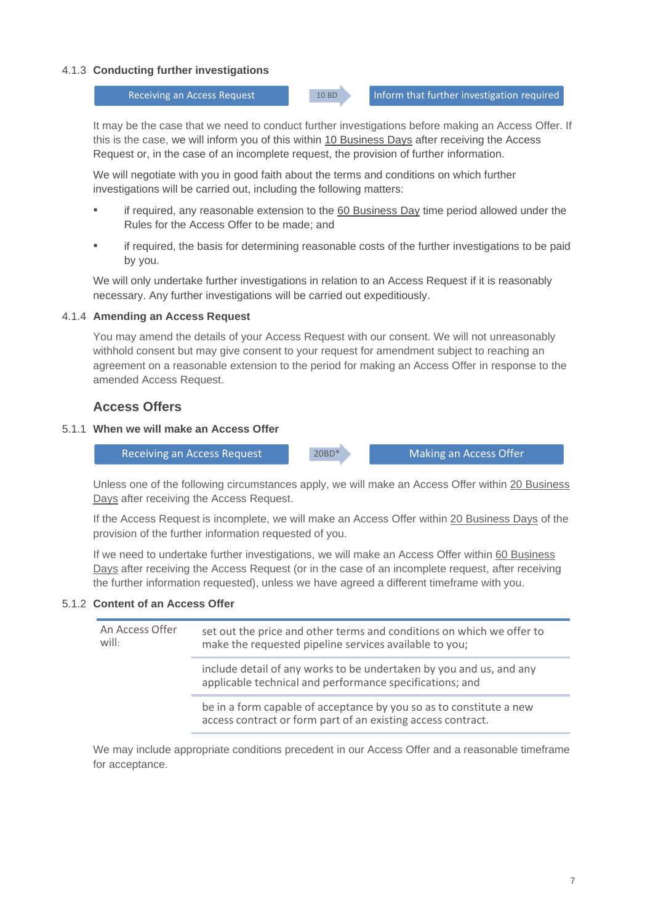#### 4.1.3 **Conducting further investigations**

Receiving an Access Request 10 BD 10 BD Inform that further investigation required

It may be the case that we need to conduct further investigations before making an Access Offer. If this is the case, we will inform you of this within 10 Business Days after receiving the Access Request or, in the case of an incomplete request, the provision of further information.

We will negotiate with you in good faith about the terms and conditions on which further investigations will be carried out, including the following matters:

- if required, any reasonable extension to the 60 Business Day time period allowed under the Rules for the Access Offer to be made; and
- if required, the basis for determining reasonable costs of the further investigations to be paid by you.

We will only undertake further investigations in relation to an Access Request if it is reasonably necessary. Any further investigations will be carried out expeditiously.

#### 4.1.4 **Amending an Access Request**

You may amend the details of your Access Request with our consent. We will not unreasonably withhold consent but may give consent to your request for amendment subject to reaching an agreement on a reasonable extension to the period for making an Access Offer in response to the amended Access Request.

#### **Access Offers**

#### <span id="page-6-0"></span>5.1.1 **When we will make an Access Offer**

Receiving an Access Request 20BD\* Making an Access Offer

Unless one of the following circumstances apply, we will make an Access Offer within 20 Business Days after receiving the Access Request.

If the Access Request is incomplete, we will make an Access Offer within 20 Business Days of the provision of the further information requested of you.

If we need to undertake further investigations, we will make an Access Offer within 60 Business Days after receiving the Access Request (or in the case of an incomplete request, after receiving the further information requested), unless we have agreed a different timeframe with you.

#### 5.1.2 **Content of an Access Offer**

| An Access Offer<br>will: | set out the price and other terms and conditions on which we offer to<br>make the requested pipeline services available to you;     |
|--------------------------|-------------------------------------------------------------------------------------------------------------------------------------|
|                          | include detail of any works to be undertaken by you and us, and any<br>applicable technical and performance specifications; and     |
|                          | be in a form capable of acceptance by you so as to constitute a new<br>access contract or form part of an existing access contract. |

We may include appropriate conditions precedent in our Access Offer and a reasonable timeframe for acceptance.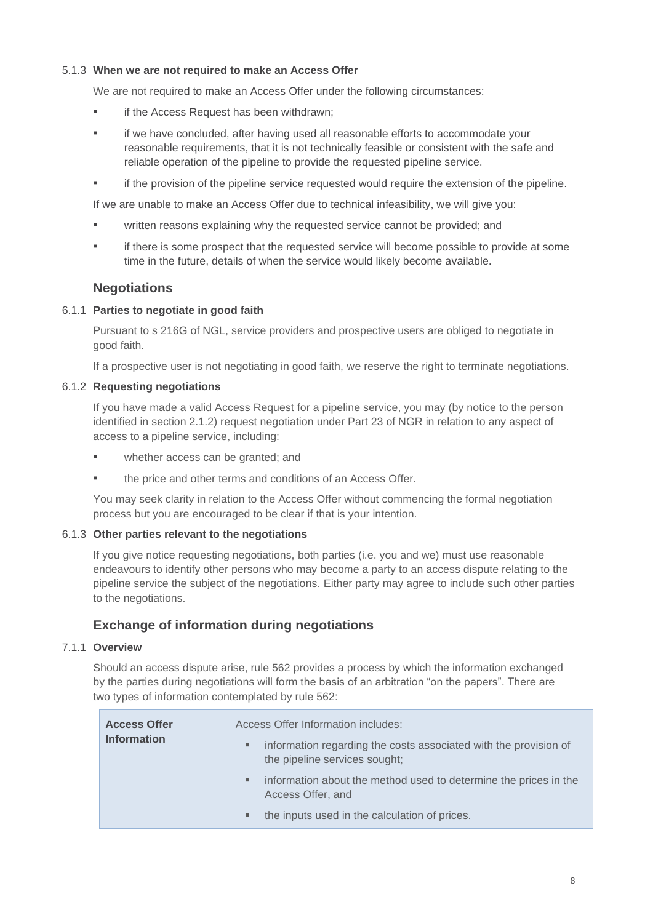#### 5.1.3 **When we are not required to make an Access Offer**

We are not required to make an Access Offer under the following circumstances:

- if the Access Request has been withdrawn;
- if we have concluded, after having used all reasonable efforts to accommodate your reasonable requirements, that it is not technically feasible or consistent with the safe and reliable operation of the pipeline to provide the requested pipeline service.
- **•** if the provision of the pipeline service requested would require the extension of the pipeline.

If we are unable to make an Access Offer due to technical infeasibility, we will give you:

- written reasons explaining why the requested service cannot be provided; and
- if there is some prospect that the requested service will become possible to provide at some time in the future, details of when the service would likely become available.

### **Negotiations**

#### <span id="page-7-0"></span>6.1.1 **Parties to negotiate in good faith**

Pursuant to s 216G of NGL, service providers and prospective users are obliged to negotiate in good faith.

If a prospective user is not negotiating in good faith, we reserve the right to terminate negotiations.

#### 6.1.2 **Requesting negotiations**

If you have made a valid Access Request for a pipeline service, you may (by notice to the person identified in section 2.1.2) request negotiation under Part 23 of NGR in relation to any aspect of access to a pipeline service, including:

- whether access can be granted; and
- the price and other terms and conditions of an Access Offer.

You may seek clarity in relation to the Access Offer without commencing the formal negotiation process but you are encouraged to be clear if that is your intention.

#### 6.1.3 **Other parties relevant to the negotiations**

If you give notice requesting negotiations, both parties (i.e. you and we) must use reasonable endeavours to identify other persons who may become a party to an access dispute relating to the pipeline service the subject of the negotiations. Either party may agree to include such other parties to the negotiations.

## **Exchange of information during negotiations**

#### <span id="page-7-1"></span>7.1.1 **Overview**

Should an access dispute arise, rule 562 provides a process by which the information exchanged by the parties during negotiations will form the basis of an arbitration "on the papers". There are two types of information contemplated by rule 562:

| <b>Access Offer</b><br><b>Information</b> | ٠ | Access Offer Information includes:<br>information regarding the costs associated with the provision of<br>the pipeline services sought; |
|-------------------------------------------|---|-----------------------------------------------------------------------------------------------------------------------------------------|
|                                           | ٠ | information about the method used to determine the prices in the<br>Access Offer, and                                                   |
|                                           | ٠ | the inputs used in the calculation of prices.                                                                                           |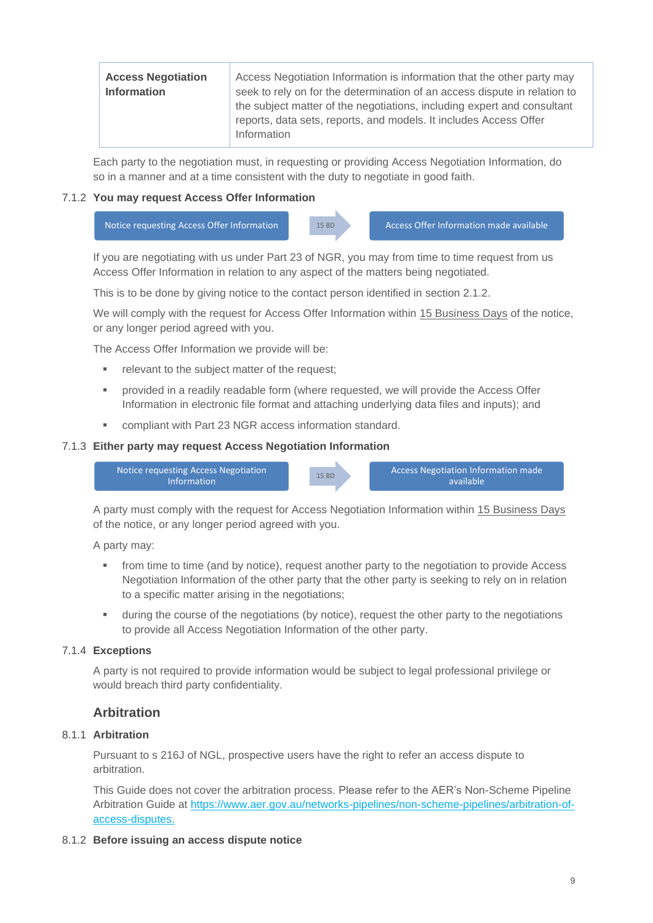| <b>Access Negotiation</b><br><b>Information</b> | Access Negotiation Information is information that the other party may<br>seek to rely on for the determination of an access dispute in relation to<br>the subject matter of the negotiations, including expert and consultant |
|-------------------------------------------------|--------------------------------------------------------------------------------------------------------------------------------------------------------------------------------------------------------------------------------|
|                                                 | reports, data sets, reports, and models. It includes Access Offer<br>Information                                                                                                                                               |

Each party to the negotiation must, in requesting or providing Access Negotiation Information, do so in a manner and at a time consistent with the duty to negotiate in good faith.

#### 7.1.2 **You may request Access Offer Information**



If you are negotiating with us under Part 23 of NGR, you may from time to time request from us Access Offer Information in relation to any aspect of the matters being negotiated.

This is to be done by giving notice to the contact person identified in section 2.1.2.

We will comply with the request for Access Offer Information within 15 Business Days of the notice, or any longer period agreed with you.

The Access Offer Information we provide will be:

- relevant to the subject matter of the request:
- provided in a readily readable form (where requested, we will provide the Access Offer Information in electronic file format and attaching underlying data files and inputs); and
- compliant with Part 23 NGR access information standard.

#### 7.1.3 **Either party may request Access Negotiation Information**



A party must comply with the request for Access Negotiation Information within 15 Business Days of the notice, or any longer period agreed with you.

A party may:

- from time to time (and by notice), request another party to the negotiation to provide Access Negotiation Information of the other party that the other party is seeking to rely on in relation to a specific matter arising in the negotiations;
- during the course of the negotiations (by notice), request the other party to the negotiations to provide all Access Negotiation Information of the other party.

#### 7.1.4 **Exceptions**

A party is not required to provide information would be subject to legal professional privilege or would breach third party confidentiality.

#### **Arbitration**

#### <span id="page-8-0"></span>8.1.1 **Arbitration**

Pursuant to s 216J of NGL, prospective users have the right to refer an access dispute to arbitration.

This Guide does not cover the arbitration process. Please refer to the AER's Non-Scheme Pipeline Arbitration Guide at [https://www.aer.gov.au/networks-pipelines/non-scheme-pipelines/arbitration-of](https://www.aer.gov.au/networks-pipelines/non-scheme-pipelines/arbitration-of-access-disputes)[access-disputes.](https://www.aer.gov.au/networks-pipelines/non-scheme-pipelines/arbitration-of-access-disputes)

#### 8.1.2 **Before issuing an access dispute notice**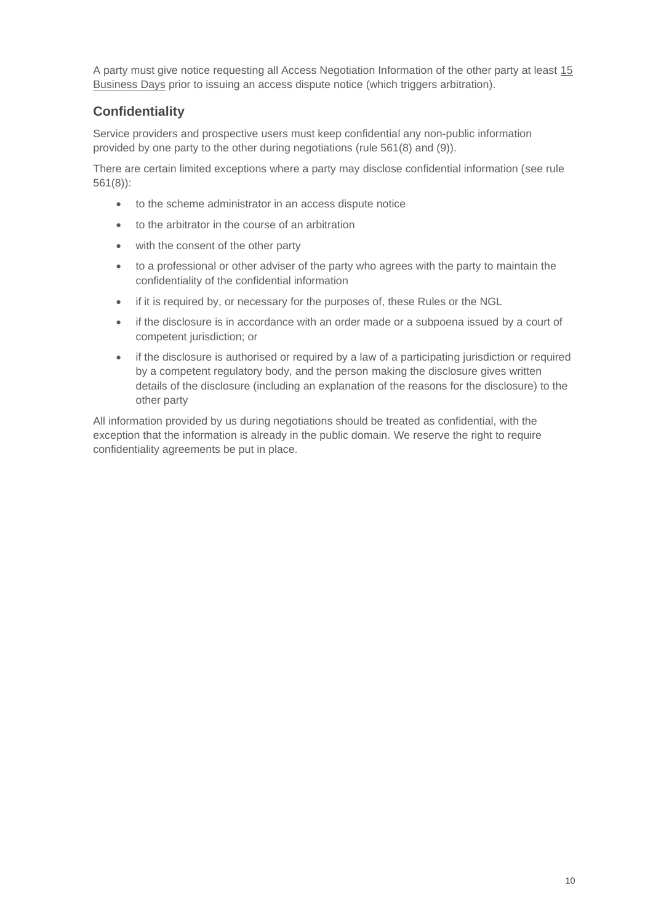A party must give notice requesting all Access Negotiation Information of the other party at least 15 Business Days prior to issuing an access dispute notice (which triggers arbitration).

## <span id="page-9-0"></span>**Confidentiality**

Service providers and prospective users must keep confidential any non-public information provided by one party to the other during negotiations (rule 561(8) and (9)).

There are certain limited exceptions where a party may disclose confidential information (see rule 561(8)):

- to the scheme administrator in an access dispute notice
- to the arbitrator in the course of an arbitration
- with the consent of the other party
- to a professional or other adviser of the party who agrees with the party to maintain the confidentiality of the confidential information
- if it is required by, or necessary for the purposes of, these Rules or the NGL
- if the disclosure is in accordance with an order made or a subpoena issued by a court of competent jurisdiction; or
- if the disclosure is authorised or required by a law of a participating jurisdiction or required by a competent regulatory body, and the person making the disclosure gives written details of the disclosure (including an explanation of the reasons for the disclosure) to the other party

All information provided by us during negotiations should be treated as confidential, with the exception that the information is already in the public domain. We reserve the right to require confidentiality agreements be put in place.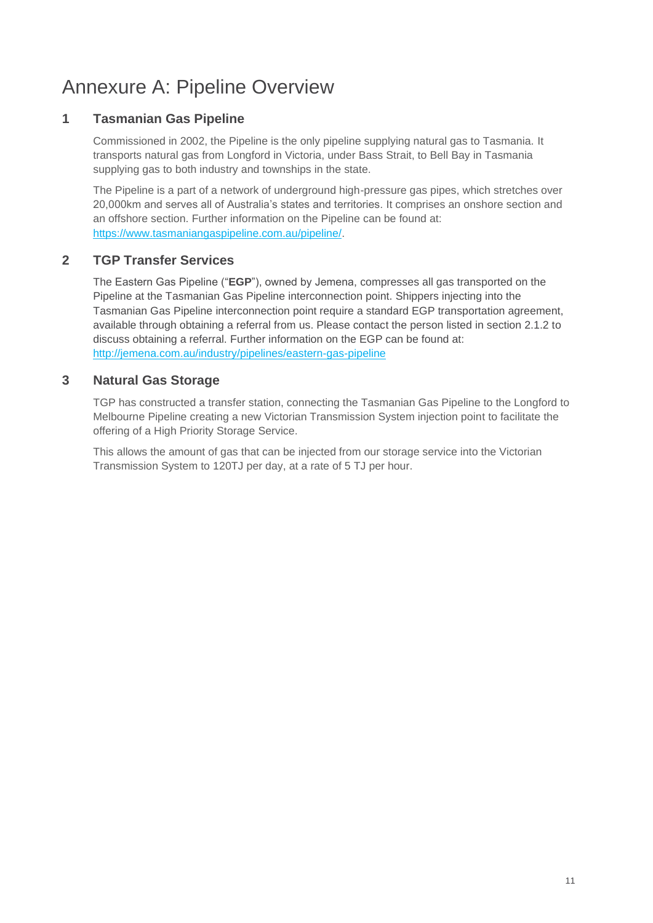## <span id="page-10-0"></span>Annexure A: Pipeline Overview

## **1 Tasmanian Gas Pipeline**

Commissioned in 2002, the Pipeline is the only pipeline supplying natural gas to Tasmania. It transports natural gas from Longford in Victoria, under Bass Strait, to Bell Bay in Tasmania supplying gas to both industry and townships in the state.

The Pipeline is a part of a network of underground high-pressure gas pipes, which stretches over 20,000km and serves all of Australia's states and territories. It comprises an onshore section and an offshore section. Further information on the Pipeline can be found at: [https://www.tasmaniangaspipeline.com.au/pipeline/.](https://www.tasmaniangaspipeline.com.au/pipeline/)

## **2 TGP Transfer Services**

The Eastern Gas Pipeline ("**EGP**"), owned by Jemena, compresses all gas transported on the Pipeline at the Tasmanian Gas Pipeline interconnection point. Shippers injecting into the Tasmanian Gas Pipeline interconnection point require a standard EGP transportation agreement, available through obtaining a referral from us. Please contact the person listed in section 2.1.2 to discuss obtaining a referral. Further information on the EGP can be found at: <http://jemena.com.au/industry/pipelines/eastern-gas-pipeline>

## **3 Natural Gas Storage**

TGP has constructed a transfer station, connecting the Tasmanian Gas Pipeline to the Longford to Melbourne Pipeline creating a new Victorian Transmission System injection point to facilitate the offering of a High Priority Storage Service.

This allows the amount of gas that can be injected from our storage service into the Victorian Transmission System to 120TJ per day, at a rate of 5 TJ per hour.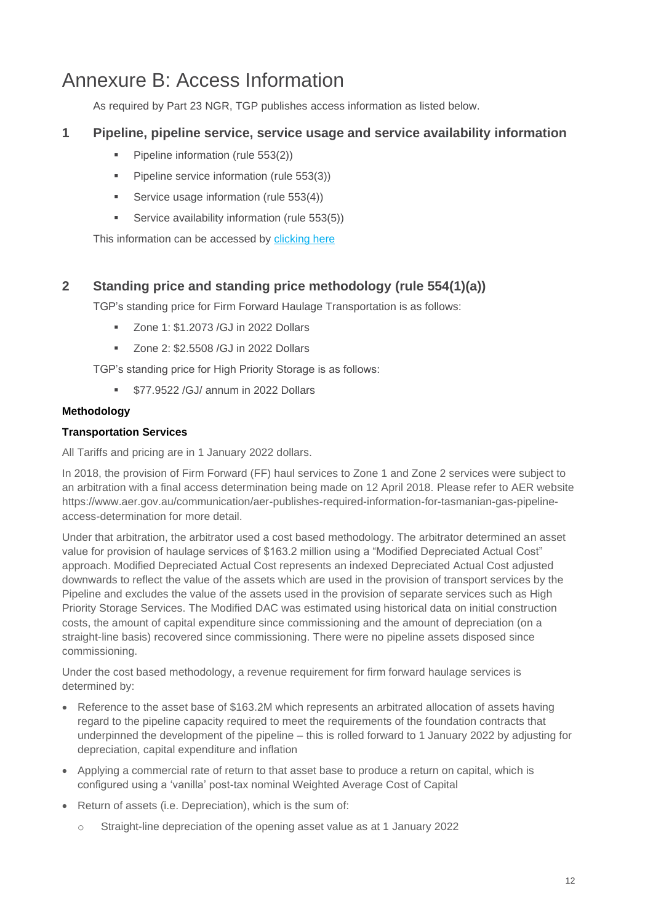## <span id="page-11-0"></span>Annexure B: Access Information

As required by Part 23 NGR, TGP publishes access information as listed below.

## **1 Pipeline, pipeline service, service usage and service availability information**

- Pipeline information (rule 553(2))
- **•** Pipeline service information (rule 553(3))
- Service usage information (rule 553(4))
- Service availability information (rule 553(5))

This information can be accessed by [clicking here](https://www.tasmaniangaspipeline.com.au/volumes/images/20210226-TGP-access-information.pdf)

## **2 Standing price and standing price methodology (rule 554(1)(a))**

TGP's standing price for Firm Forward Haulage Transportation is as follows:

- Zone 1: \$1.2073 /GJ in 2022 Dollars
- Zone 2: \$2,5508 /GJ in 2022 Dollars

TGP's standing price for High Priority Storage is as follows:

**• \$77.9522 /GJ/ annum in 2022 Dollars** 

#### **Methodology**

#### **Transportation Services**

All Tariffs and pricing are in 1 January 2022 dollars.

In 2018, the provision of Firm Forward (FF) haul services to Zone 1 and Zone 2 services were subject to an arbitration with a final access determination being made on 12 April 2018. Please refer to AER website [https://www.aer.gov.au/communication/aer-publishes-required-information-for-tasmanian-gas-pipeline](https://apac01.safelinks.protection.outlook.com/?url=https%3A%2F%2Fwww.aer.gov.au%2Fcommunication%2Faer-publishes-required-information-for-tasmanian-gas-pipeline-access-determination&data=02%7C01%7Celias.bozoglou%40palisadeassetmanagement.com.au%7C58682d2f3198458ef24708d5c6080c63%7C35cf8e31ecbc469399faa3d4d4dbd0de%7C0%7C0%7C636632660249159101&sdata=LJYg8uzTSuEK4vHXjWF4Ij%2B%2F%2B6RCjVfgEtDs87aCYHU%3D&reserved=0)[access-determination](https://apac01.safelinks.protection.outlook.com/?url=https%3A%2F%2Fwww.aer.gov.au%2Fcommunication%2Faer-publishes-required-information-for-tasmanian-gas-pipeline-access-determination&data=02%7C01%7Celias.bozoglou%40palisadeassetmanagement.com.au%7C58682d2f3198458ef24708d5c6080c63%7C35cf8e31ecbc469399faa3d4d4dbd0de%7C0%7C0%7C636632660249159101&sdata=LJYg8uzTSuEK4vHXjWF4Ij%2B%2F%2B6RCjVfgEtDs87aCYHU%3D&reserved=0) for more detail.

Under that arbitration, the arbitrator used a cost based methodology. The arbitrator determined an asset value for provision of haulage services of \$163.2 million using a "Modified Depreciated Actual Cost" approach. Modified Depreciated Actual Cost represents an indexed Depreciated Actual Cost adjusted downwards to reflect the value of the assets which are used in the provision of transport services by the Pipeline and excludes the value of the assets used in the provision of separate services such as High Priority Storage Services. The Modified DAC was estimated using historical data on initial construction costs, the amount of capital expenditure since commissioning and the amount of depreciation (on a straight-line basis) recovered since commissioning. There were no pipeline assets disposed since commissioning.

Under the cost based methodology, a revenue requirement for firm forward haulage services is determined by:

- Reference to the asset base of \$163.2M which represents an arbitrated allocation of assets having regard to the pipeline capacity required to meet the requirements of the foundation contracts that underpinned the development of the pipeline – this is rolled forward to 1 January 2022 by adjusting for depreciation, capital expenditure and inflation
- Applying a commercial rate of return to that asset base to produce a return on capital, which is configured using a 'vanilla' post-tax nominal Weighted Average Cost of Capital
- Return of assets (i.e. Depreciation), which is the sum of:
	- o Straight-line depreciation of the opening asset value as at 1 January 2022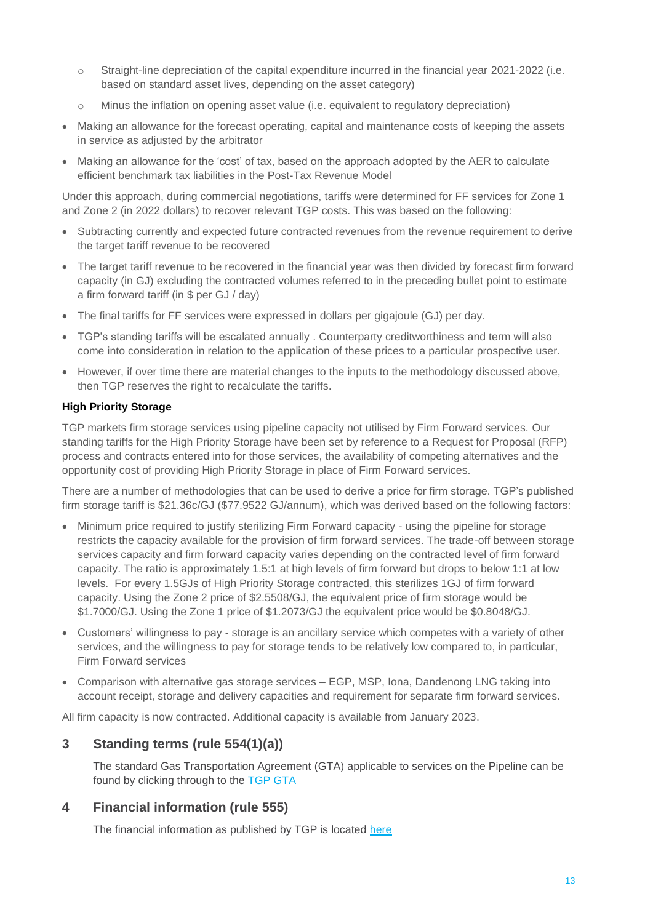- $\circ$  Straight-line depreciation of the capital expenditure incurred in the financial year 2021-2022 (i.e. based on standard asset lives, depending on the asset category)
- o Minus the inflation on opening asset value (i.e. equivalent to regulatory depreciation)
- Making an allowance for the forecast operating, capital and maintenance costs of keeping the assets in service as adjusted by the arbitrator
- Making an allowance for the 'cost' of tax, based on the approach adopted by the AER to calculate efficient benchmark tax liabilities in the Post-Tax Revenue Model

Under this approach, during commercial negotiations, tariffs were determined for FF services for Zone 1 and Zone 2 (in 2022 dollars) to recover relevant TGP costs. This was based on the following:

- Subtracting currently and expected future contracted revenues from the revenue requirement to derive the target tariff revenue to be recovered
- The target tariff revenue to be recovered in the financial year was then divided by forecast firm forward capacity (in GJ) excluding the contracted volumes referred to in the preceding bullet point to estimate a firm forward tariff (in \$ per GJ / day)
- The final tariffs for FF services were expressed in dollars per gigajoule (GJ) per day.
- TGP's standing tariffs will be escalated annually . Counterparty creditworthiness and term will also come into consideration in relation to the application of these prices to a particular prospective user.
- However, if over time there are material changes to the inputs to the methodology discussed above, then TGP reserves the right to recalculate the tariffs.

#### **High Priority Storage**

TGP markets firm storage services using pipeline capacity not utilised by Firm Forward services. Our standing tariffs for the High Priority Storage have been set by reference to a Request for Proposal (RFP) process and contracts entered into for those services, the availability of competing alternatives and the opportunity cost of providing High Priority Storage in place of Firm Forward services.

There are a number of methodologies that can be used to derive a price for firm storage. TGP's published firm storage tariff is \$21.36c/GJ (\$77.9522 GJ/annum), which was derived based on the following factors:

- Minimum price required to justify sterilizing Firm Forward capacity using the pipeline for storage restricts the capacity available for the provision of firm forward services. The trade-off between storage services capacity and firm forward capacity varies depending on the contracted level of firm forward capacity. The ratio is approximately 1.5:1 at high levels of firm forward but drops to below 1:1 at low levels. For every 1.5GJs of High Priority Storage contracted, this sterilizes 1GJ of firm forward capacity. Using the Zone 2 price of \$2.5508/GJ, the equivalent price of firm storage would be \$1.7000/GJ. Using the Zone 1 price of \$1.2073/GJ the equivalent price would be \$0.8048/GJ.
- Customers' willingness to pay storage is an ancillary service which competes with a variety of other services, and the willingness to pay for storage tends to be relatively low compared to, in particular, Firm Forward services
- Comparison with alternative gas storage services EGP, MSP, Iona, Dandenong LNG taking into account receipt, storage and delivery capacities and requirement for separate firm forward services.

All firm capacity is now contracted. Additional capacity is available from January 2023.

## **3 Standing terms (rule 554(1)(a))**

The standard Gas Transportation Agreement (GTA) applicable to services on the Pipeline can be found by clicking through to the [TGP GTA](https://www.tasmaniangaspipeline.com.au/part-23-publication-and-information)

## **4 Financial information (rule 555)**

The financial information as published by TGP is located [here](https://www.tasmaniangaspipeline.com.au/financial-reporting)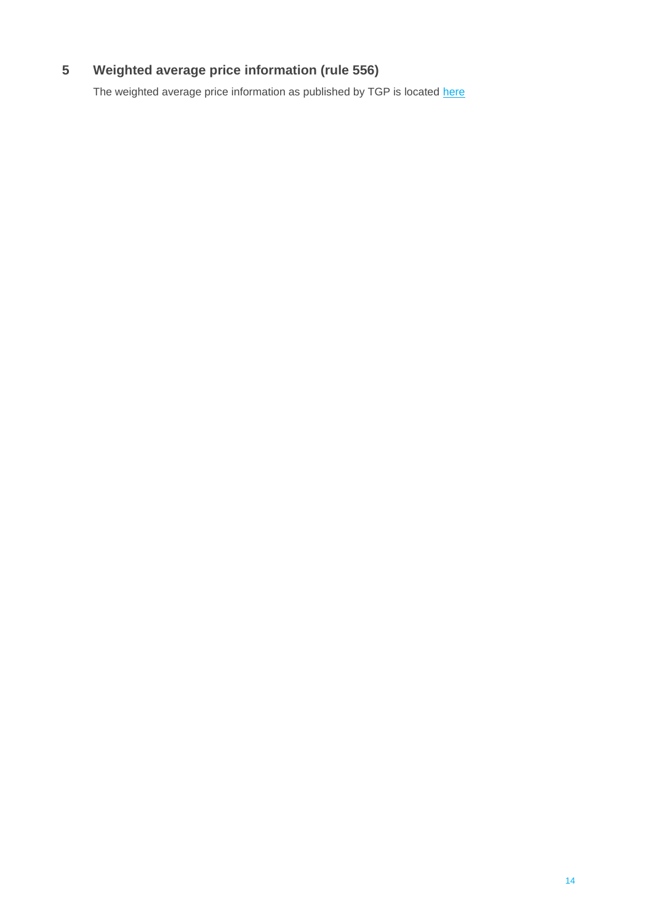## **Weighted average price information (rule 556)**

The weighted average price information as published by TGP is located [here](https://www.tasmaniangaspipeline.com.au/financial-reporting)